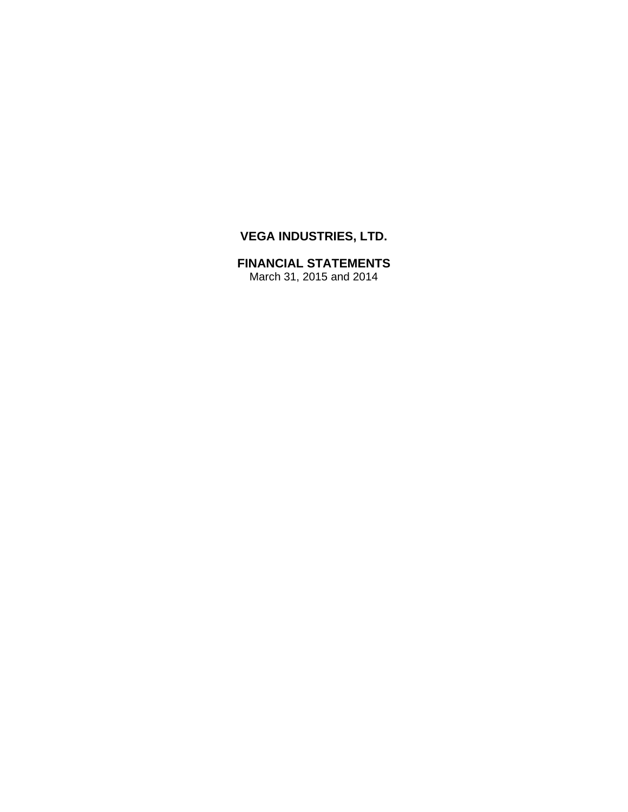# **VEGA INDUSTRIES, LTD.**

# **FINANCIAL STATEMENTS**

March 31, 2015 and 2014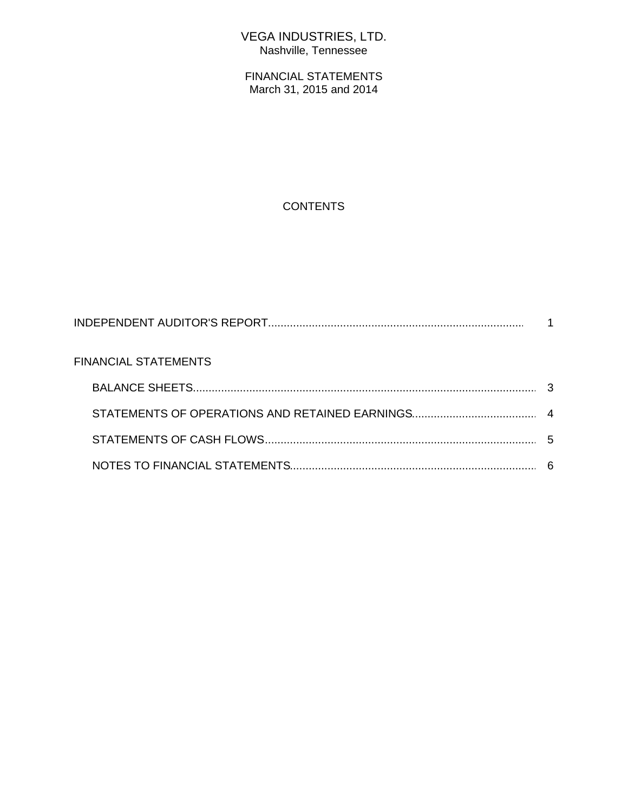## VEGA INDUSTRIES, LTD. Nashville, Tennessee

FINANCIAL STATEMENTS March 31, 2015 and 2014

## **CONTENTS**

| <b>FINANCIAL STATEMENTS</b> |  |
|-----------------------------|--|
|                             |  |
|                             |  |
|                             |  |
|                             |  |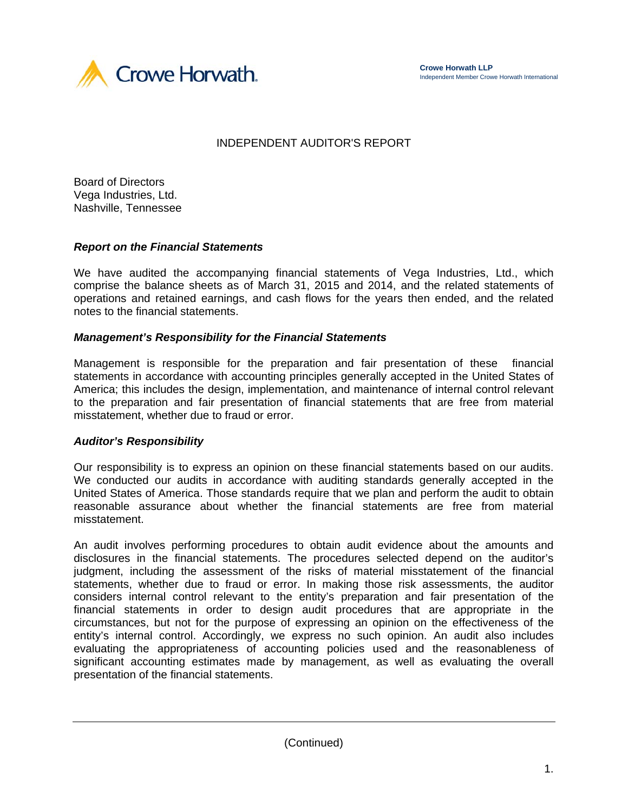



#### INDEPENDENT AUDITOR'S REPORT

Board of Directors Vega Industries, Ltd. Nashville, Tennessee

#### *Report on the Financial Statements*

We have audited the accompanying financial statements of Vega Industries, Ltd., which comprise the balance sheets as of March 31, 2015 and 2014, and the related statements of operations and retained earnings, and cash flows for the years then ended, and the related notes to the financial statements.

#### *Management's Responsibility for the Financial Statements*

Management is responsible for the preparation and fair presentation of these financial statements in accordance with accounting principles generally accepted in the United States of America; this includes the design, implementation, and maintenance of internal control relevant to the preparation and fair presentation of financial statements that are free from material misstatement, whether due to fraud or error.

#### *Auditor's Responsibility*

Our responsibility is to express an opinion on these financial statements based on our audits. We conducted our audits in accordance with auditing standards generally accepted in the United States of America. Those standards require that we plan and perform the audit to obtain reasonable assurance about whether the financial statements are free from material misstatement.

An audit involves performing procedures to obtain audit evidence about the amounts and disclosures in the financial statements. The procedures selected depend on the auditor's judgment, including the assessment of the risks of material misstatement of the financial statements, whether due to fraud or error. In making those risk assessments, the auditor considers internal control relevant to the entity's preparation and fair presentation of the financial statements in order to design audit procedures that are appropriate in the circumstances, but not for the purpose of expressing an opinion on the effectiveness of the entity's internal control. Accordingly, we express no such opinion. An audit also includes evaluating the appropriateness of accounting policies used and the reasonableness of significant accounting estimates made by management, as well as evaluating the overall presentation of the financial statements.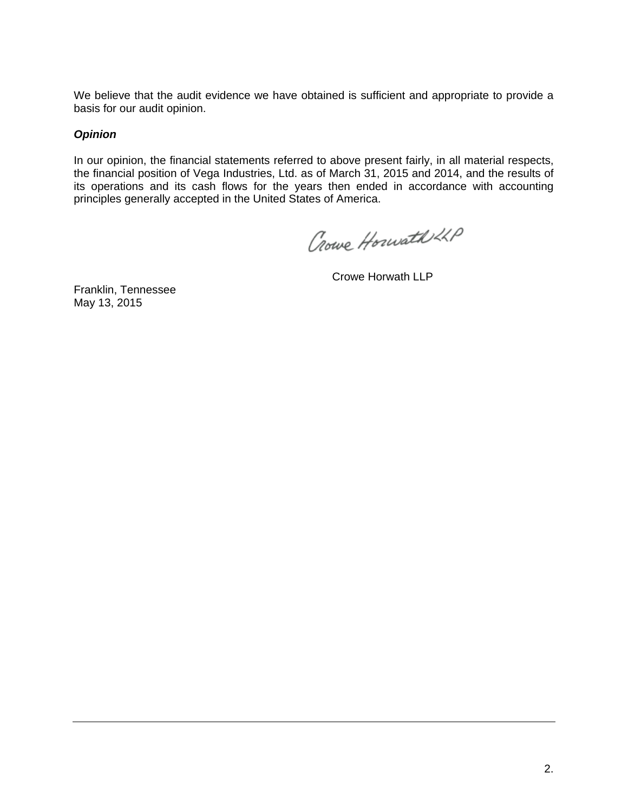We believe that the audit evidence we have obtained is sufficient and appropriate to provide a basis for our audit opinion.

#### *Opinion*

In our opinion, the financial statements referred to above present fairly, in all material respects, the financial position of Vega Industries, Ltd. as of March 31, 2015 and 2014, and the results of its operations and its cash flows for the years then ended in accordance with accounting principles generally accepted in the United States of America.

Crowe Horwath 22P

Crowe Horwath LLP

Franklin, Tennessee May 13, 2015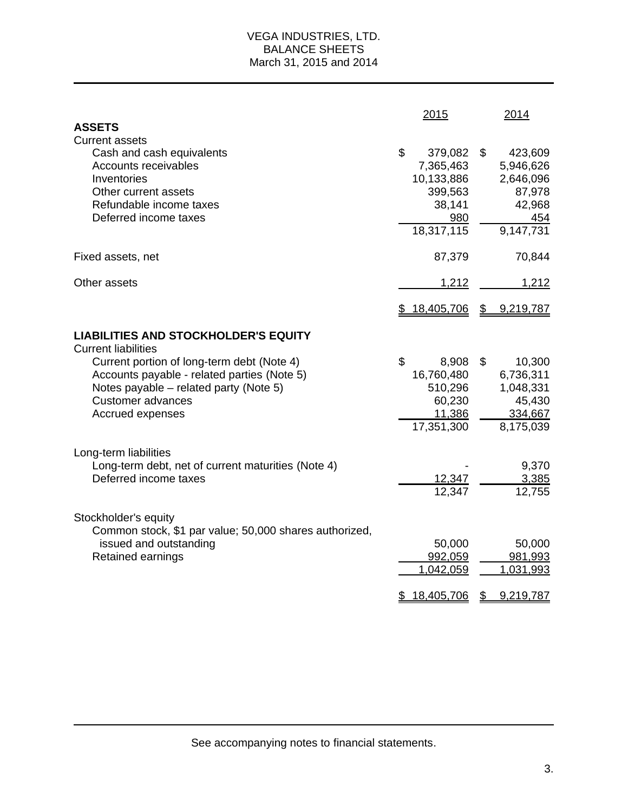#### VEGA INDUSTRIES, LTD. BALANCE SHEETS March 31, 2015 and 2014

| <b>ASSETS</b>                                                                                                                                                                                                                                                    | 2015                                                                               | 2014                                                                            |
|------------------------------------------------------------------------------------------------------------------------------------------------------------------------------------------------------------------------------------------------------------------|------------------------------------------------------------------------------------|---------------------------------------------------------------------------------|
| <b>Current assets</b><br>Cash and cash equivalents<br>Accounts receivables<br>Inventories<br>Other current assets<br>Refundable income taxes<br>Deferred income taxes                                                                                            | \$<br>379,082<br>7,365,463<br>10,133,886<br>399,563<br>38,141<br>980<br>18,317,115 | \$<br>423,609<br>5,946,626<br>2,646,096<br>87,978<br>42,968<br>454<br>9,147,731 |
| Fixed assets, net                                                                                                                                                                                                                                                | 87,379                                                                             | 70,844                                                                          |
| Other assets                                                                                                                                                                                                                                                     | 1,212                                                                              | 1,212                                                                           |
|                                                                                                                                                                                                                                                                  | \$18,405,706                                                                       | $\overline{v}$<br>9,219,787                                                     |
| <b>LIABILITIES AND STOCKHOLDER'S EQUITY</b><br><b>Current liabilities</b><br>Current portion of long-term debt (Note 4)<br>Accounts payable - related parties (Note 5)<br>Notes payable – related party (Note 5)<br><b>Customer advances</b><br>Accrued expenses | \$<br>8,908<br>16,760,480<br>510,296<br>60,230<br>11,386<br>17,351,300             | 10,300<br>\$<br>6,736,311<br>1,048,331<br>45,430<br>334,667<br>8,175,039        |
| Long-term liabilities<br>Long-term debt, net of current maturities (Note 4)<br>Deferred income taxes                                                                                                                                                             | 12,347<br>12,347                                                                   | 9,370<br>3,385<br>12,755                                                        |
| Stockholder's equity<br>Common stock, \$1 par value; 50,000 shares authorized,<br>issued and outstanding<br>Retained earnings                                                                                                                                    | 50,000<br>992,059<br>1,042,059<br><u>18,405,706</u>                                | 50,000<br>981,993<br>1,031,993<br>9,219,787<br>\$                               |

See accompanying notes to financial statements.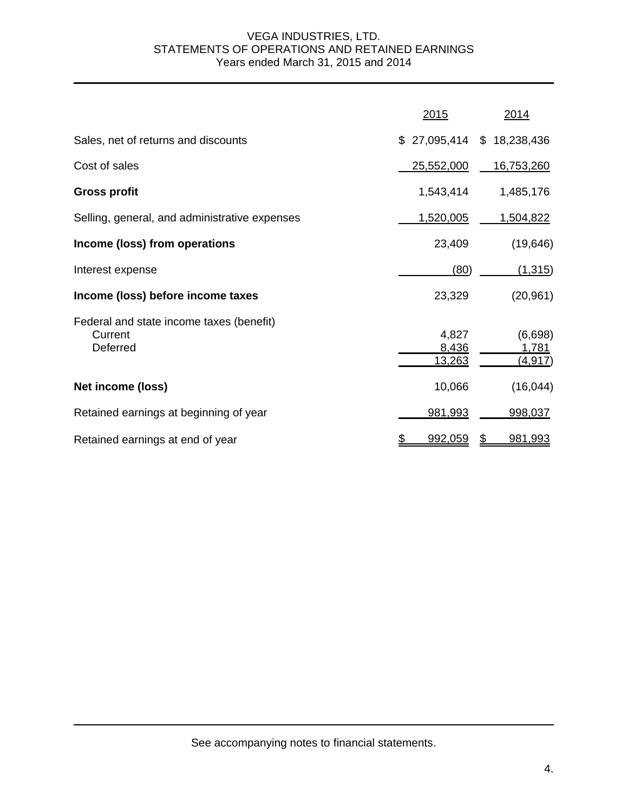#### VEGA INDUSTRIES, LTD. STATEMENTS OF OPERATIONS AND RETAINED EARNINGS Years ended March 31, 2015 and 2014

|                                                                 | 2015                     | 2014                               |
|-----------------------------------------------------------------|--------------------------|------------------------------------|
| Sales, net of returns and discounts                             | \$27,095,414             | \$18,238,436                       |
| Cost of sales                                                   | 25,552,000               | <u>16,753,260</u>                  |
| <b>Gross profit</b>                                             | 1,543,414                | 1,485,176                          |
| Selling, general, and administrative expenses                   | 1,520,005                | <u>1,504,822</u>                   |
| Income (loss) from operations                                   | 23,409                   | (19, 646)                          |
| Interest expense                                                | (80)                     | (1,315)                            |
| Income (loss) before income taxes                               | 23,329                   | (20, 961)                          |
| Federal and state income taxes (benefit)<br>Current<br>Deferred | 4,827<br>8,436<br>13,263 | (6,698)<br>1,781<br><u>(4,917)</u> |
| Net income (loss)                                               | 10,066                   | (16, 044)                          |
| Retained earnings at beginning of year                          | 981,993                  | 998,037                            |
| Retained earnings at end of year                                | 992,059                  | \$<br>981,993                      |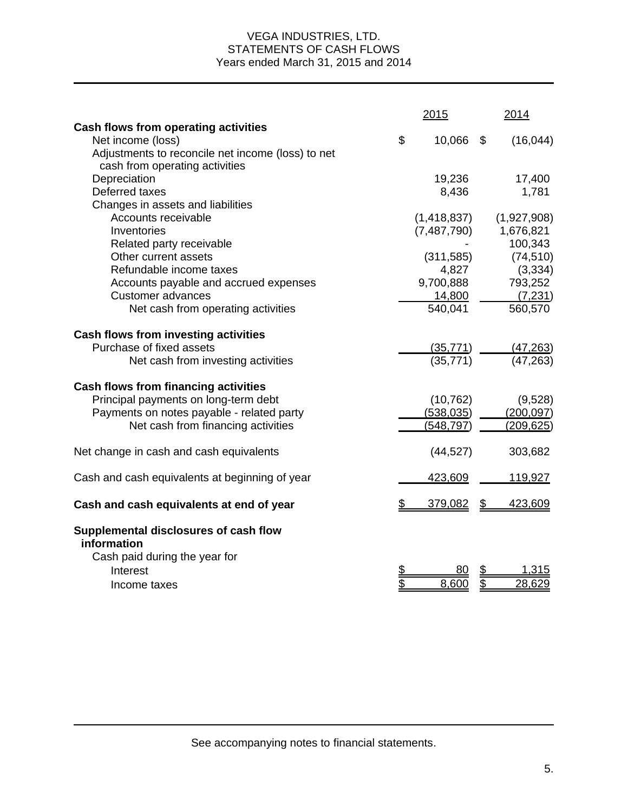#### VEGA INDUSTRIES, LTD. STATEMENTS OF CASH FLOWS Years ended March 31, 2015 and 2014

|                                                      | 2015          |                | 2014        |
|------------------------------------------------------|---------------|----------------|-------------|
| Cash flows from operating activities                 |               |                |             |
| Net income (loss)                                    | \$<br>10,066  | \$             | (16, 044)   |
| Adjustments to reconcile net income (loss) to net    |               |                |             |
| cash from operating activities                       |               |                |             |
| Depreciation                                         | 19,236        |                | 17,400      |
| Deferred taxes                                       | 8,436         |                | 1,781       |
| Changes in assets and liabilities                    |               |                |             |
| Accounts receivable                                  | (1,418,837)   |                | (1,927,908) |
| Inventories                                          | (7,487,790)   |                | 1,676,821   |
| Related party receivable                             |               |                | 100,343     |
| Other current assets                                 | (311,585)     |                | (74, 510)   |
| Refundable income taxes                              | 4,827         |                | (3, 334)    |
| Accounts payable and accrued expenses                | 9,700,888     |                | 793,252     |
| <b>Customer advances</b>                             | 14,800        |                | (7, 231)    |
| Net cash from operating activities                   | 540,041       |                | 560,570     |
| Cash flows from investing activities                 |               |                |             |
| Purchase of fixed assets                             | (35, 771)     |                | (47, 263)   |
| Net cash from investing activities                   | (35, 771)     |                | (47, 263)   |
| <b>Cash flows from financing activities</b>          |               |                |             |
| Principal payments on long-term debt                 | (10, 762)     |                | (9,528)     |
| Payments on notes payable - related party            | (538, 035)    |                | (200, 097)  |
| Net cash from financing activities                   | (548, 797)    |                | (209, 625)  |
| Net change in cash and cash equivalents              | (44, 527)     |                | 303,682     |
| Cash and cash equivalents at beginning of year       | 423,609       |                | 119,927     |
| Cash and cash equivalents at end of year             | \$<br>379,082 | $\mathfrak{D}$ | 423,609     |
| Supplemental disclosures of cash flow<br>information |               |                |             |
| Cash paid during the year for                        |               |                |             |
| Interest                                             |               |                | 1.315       |
| Income taxes                                         | 8,600         |                | 28,629      |
|                                                      |               |                |             |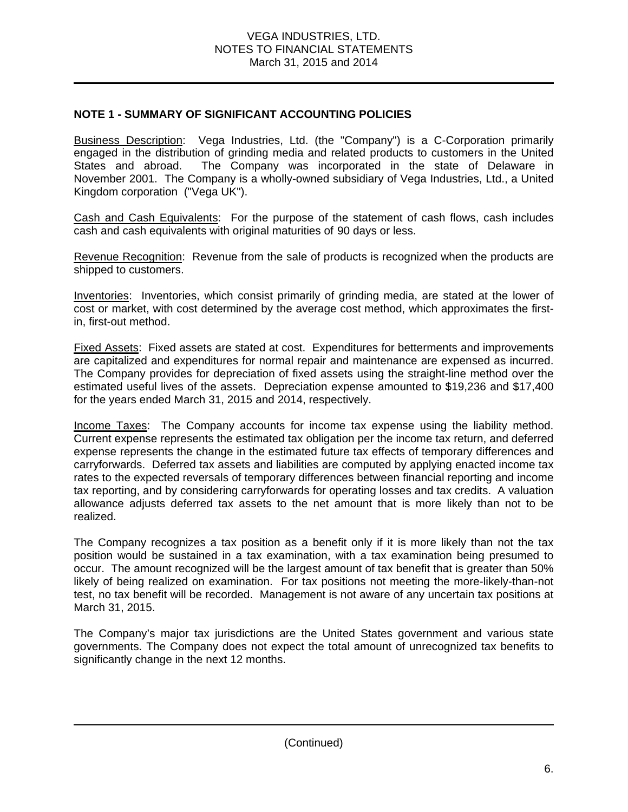## **NOTE 1 - SUMMARY OF SIGNIFICANT ACCOUNTING POLICIES**

Business Description: Vega Industries, Ltd. (the "Company") is a C-Corporation primarily engaged in the distribution of grinding media and related products to customers in the United States and abroad. The Company was incorporated in the state of Delaware in November 2001. The Company is a wholly-owned subsidiary of Vega Industries, Ltd., a United Kingdom corporation ("Vega UK").

Cash and Cash Equivalents: For the purpose of the statement of cash flows, cash includes cash and cash equivalents with original maturities of 90 days or less.

Revenue Recognition: Revenue from the sale of products is recognized when the products are shipped to customers.

Inventories: Inventories, which consist primarily of grinding media, are stated at the lower of cost or market, with cost determined by the average cost method, which approximates the firstin, first-out method.

Fixed Assets: Fixed assets are stated at cost. Expenditures for betterments and improvements are capitalized and expenditures for normal repair and maintenance are expensed as incurred. The Company provides for depreciation of fixed assets using the straight-line method over the estimated useful lives of the assets. Depreciation expense amounted to \$19,236 and \$17,400 for the years ended March 31, 2015 and 2014, respectively.

Income Taxes: The Company accounts for income tax expense using the liability method. Current expense represents the estimated tax obligation per the income tax return, and deferred expense represents the change in the estimated future tax effects of temporary differences and carryforwards. Deferred tax assets and liabilities are computed by applying enacted income tax rates to the expected reversals of temporary differences between financial reporting and income tax reporting, and by considering carryforwards for operating losses and tax credits. A valuation allowance adjusts deferred tax assets to the net amount that is more likely than not to be realized.

The Company recognizes a tax position as a benefit only if it is more likely than not the tax position would be sustained in a tax examination, with a tax examination being presumed to occur. The amount recognized will be the largest amount of tax benefit that is greater than 50% likely of being realized on examination. For tax positions not meeting the more-likely-than-not test, no tax benefit will be recorded. Management is not aware of any uncertain tax positions at March 31, 2015.

The Company's major tax jurisdictions are the United States government and various state governments. The Company does not expect the total amount of unrecognized tax benefits to significantly change in the next 12 months.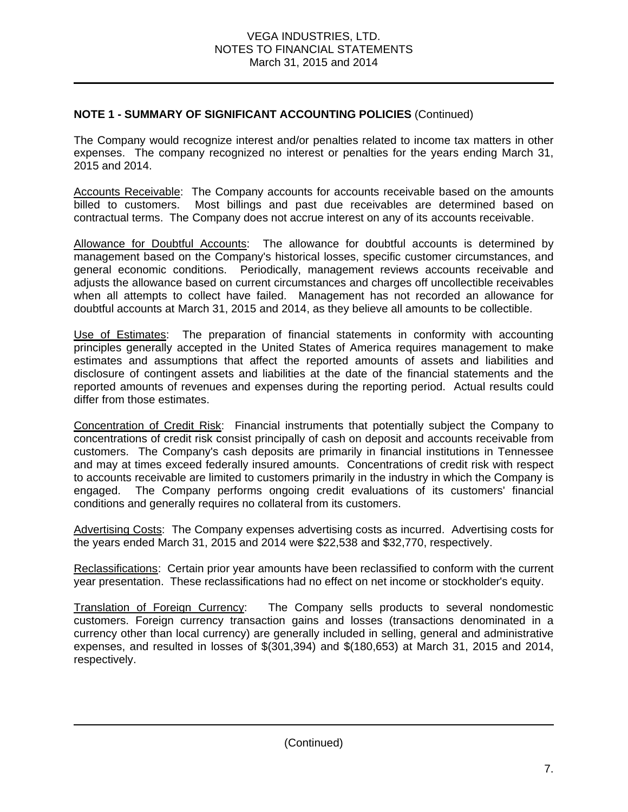## **NOTE 1 - SUMMARY OF SIGNIFICANT ACCOUNTING POLICIES** (Continued)

The Company would recognize interest and/or penalties related to income tax matters in other expenses. The company recognized no interest or penalties for the years ending March 31, 2015 and 2014.

Accounts Receivable: The Company accounts for accounts receivable based on the amounts billed to customers. Most billings and past due receivables are determined based on contractual terms. The Company does not accrue interest on any of its accounts receivable.

Allowance for Doubtful Accounts: The allowance for doubtful accounts is determined by management based on the Company's historical losses, specific customer circumstances, and general economic conditions. Periodically, management reviews accounts receivable and adjusts the allowance based on current circumstances and charges off uncollectible receivables when all attempts to collect have failed. Management has not recorded an allowance for doubtful accounts at March 31, 2015 and 2014, as they believe all amounts to be collectible.

Use of Estimates: The preparation of financial statements in conformity with accounting principles generally accepted in the United States of America requires management to make estimates and assumptions that affect the reported amounts of assets and liabilities and disclosure of contingent assets and liabilities at the date of the financial statements and the reported amounts of revenues and expenses during the reporting period. Actual results could differ from those estimates.

Concentration of Credit Risk: Financial instruments that potentially subject the Company to concentrations of credit risk consist principally of cash on deposit and accounts receivable from customers. The Company's cash deposits are primarily in financial institutions in Tennessee and may at times exceed federally insured amounts. Concentrations of credit risk with respect to accounts receivable are limited to customers primarily in the industry in which the Company is engaged. The Company performs ongoing credit evaluations of its customers' financial conditions and generally requires no collateral from its customers.

Advertising Costs: The Company expenses advertising costs as incurred. Advertising costs for the years ended March 31, 2015 and 2014 were \$22,538 and \$32,770, respectively.

Reclassifications: Certain prior year amounts have been reclassified to conform with the current year presentation. These reclassifications had no effect on net income or stockholder's equity.

**Translation of Foreign Currency:** The Company sells products to several nondomestic customers. Foreign currency transaction gains and losses (transactions denominated in a currency other than local currency) are generally included in selling, general and administrative expenses, and resulted in losses of \$(301,394) and \$(180,653) at March 31, 2015 and 2014, respectively.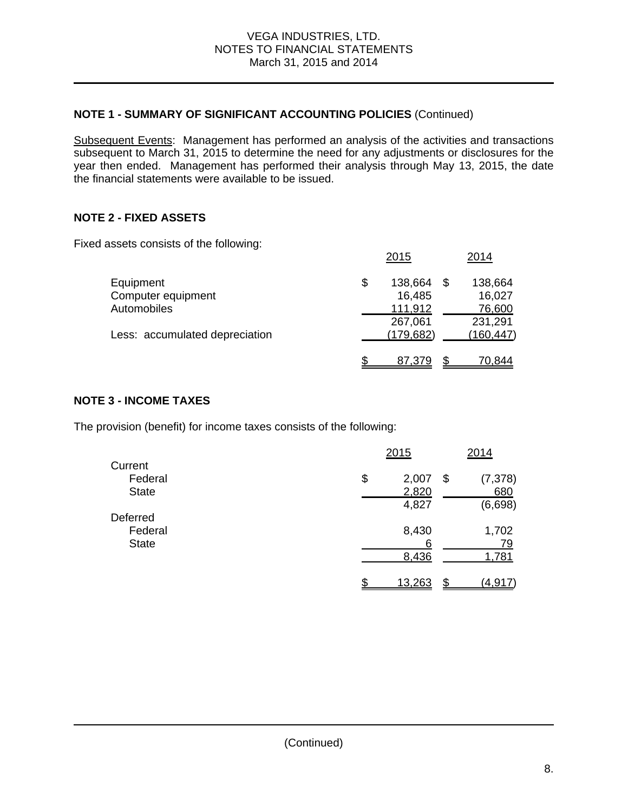## **NOTE 1 - SUMMARY OF SIGNIFICANT ACCOUNTING POLICIES** (Continued)

Subsequent Events: Management has performed an analysis of the activities and transactions subsequent to March 31, 2015 to determine the need for any adjustments or disclosures for the year then ended. Management has performed their analysis through May 13, 2015, the date the financial statements were available to be issued.

## **NOTE 2 - FIXED ASSETS**

Fixed assets consists of the following:

|                                | 2015          | 2014          |
|--------------------------------|---------------|---------------|
| Equipment                      | \$<br>138,664 | \$<br>138,664 |
| Computer equipment             | 16,485        | 16,027        |
| Automobiles                    | 111,912       | 76,600        |
|                                | 267,061       | 231,291       |
| Less: accumulated depreciation | (179, 682)    | (160, 447)    |
|                                | 87,379        | 70,844        |

#### **NOTE 3 - INCOME TAXES**

The provision (benefit) for income taxes consists of the following:

|              | 2015         | 2014           |
|--------------|--------------|----------------|
| Current      |              |                |
| Federal      | \$<br>2,007  | (7, 378)<br>\$ |
| <b>State</b> | 2,820        | 680            |
|              | 4,827        | (6,698)        |
| Deferred     |              |                |
| Federal      | 8,430        | 1,702          |
| <b>State</b> | 6            | 79             |
|              | 8,436        | 1,781          |
|              |              |                |
|              | \$<br>13,263 | \$<br>(4, 917) |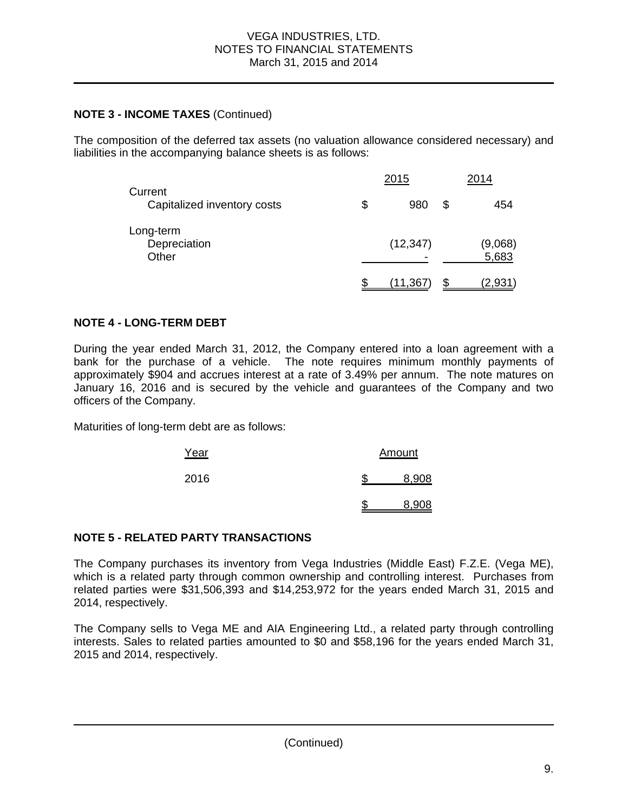#### **NOTE 3 - INCOME TAXES** (Continued)

The composition of the deferred tax assets (no valuation allowance considered necessary) and liabilities in the accompanying balance sheets is as follows:

|                                        | 2015           |   | 2014             |
|----------------------------------------|----------------|---|------------------|
| Current<br>Capitalized inventory costs | \$<br>980      | S | 454              |
| Long-term<br>Depreciation<br>Other     | (12, 347)<br>- |   | (9,068)<br>5,683 |
|                                        | (11,367        |   | <u>(2,931)</u>   |

#### **NOTE 4 - LONG-TERM DEBT**

During the year ended March 31, 2012, the Company entered into a loan agreement with a bank for the purchase of a vehicle. The note requires minimum monthly payments of approximately \$904 and accrues interest at a rate of 3.49% per annum. The note matures on January 16, 2016 and is secured by the vehicle and guarantees of the Company and two officers of the Company.

Maturities of long-term debt are as follows:

| Year | Amount |       |  |
|------|--------|-------|--|
| 2016 |        | 8,908 |  |
|      |        | 8,908 |  |

## **NOTE 5 - RELATED PARTY TRANSACTIONS**

The Company purchases its inventory from Vega Industries (Middle East) F.Z.E. (Vega ME), which is a related party through common ownership and controlling interest. Purchases from related parties were \$31,506,393 and \$14,253,972 for the years ended March 31, 2015 and 2014, respectively.

The Company sells to Vega ME and AIA Engineering Ltd., a related party through controlling interests. Sales to related parties amounted to \$0 and \$58,196 for the years ended March 31, 2015 and 2014, respectively.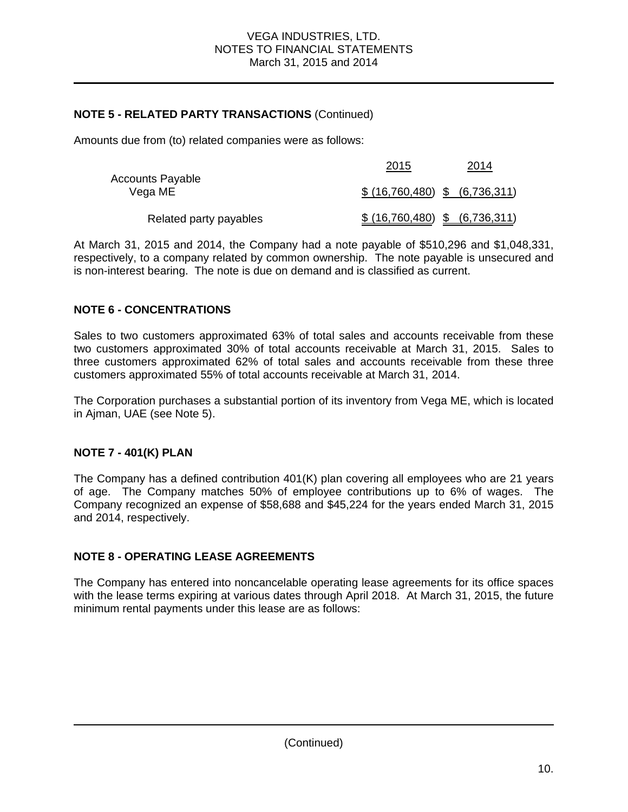#### **NOTE 5 - RELATED PARTY TRANSACTIONS** (Continued)

Amounts due from (to) related companies were as follows:

| <b>Accounts Payable</b> | 2015                           | 2014 |
|-------------------------|--------------------------------|------|
| Vega ME                 | \$ (16,760,480) \$ (6,736,311) |      |
| Related party payables  | \$ (16,760,480) \$ (6,736,311) |      |

At March 31, 2015 and 2014, the Company had a note payable of \$510,296 and \$1,048,331, respectively, to a company related by common ownership. The note payable is unsecured and is non-interest bearing. The note is due on demand and is classified as current.

#### **NOTE 6 - CONCENTRATIONS**

Sales to two customers approximated 63% of total sales and accounts receivable from these two customers approximated 30% of total accounts receivable at March 31, 2015. Sales to three customers approximated 62% of total sales and accounts receivable from these three customers approximated 55% of total accounts receivable at March 31, 2014.

The Corporation purchases a substantial portion of its inventory from Vega ME, which is located in Ajman, UAE (see Note 5).

#### **NOTE 7 - 401(K) PLAN**

The Company has a defined contribution 401(K) plan covering all employees who are 21 years of age. The Company matches 50% of employee contributions up to 6% of wages. The Company recognized an expense of \$58,688 and \$45,224 for the years ended March 31, 2015 and 2014, respectively.

#### **NOTE 8 - OPERATING LEASE AGREEMENTS**

The Company has entered into noncancelable operating lease agreements for its office spaces with the lease terms expiring at various dates through April 2018. At March 31, 2015, the future minimum rental payments under this lease are as follows: